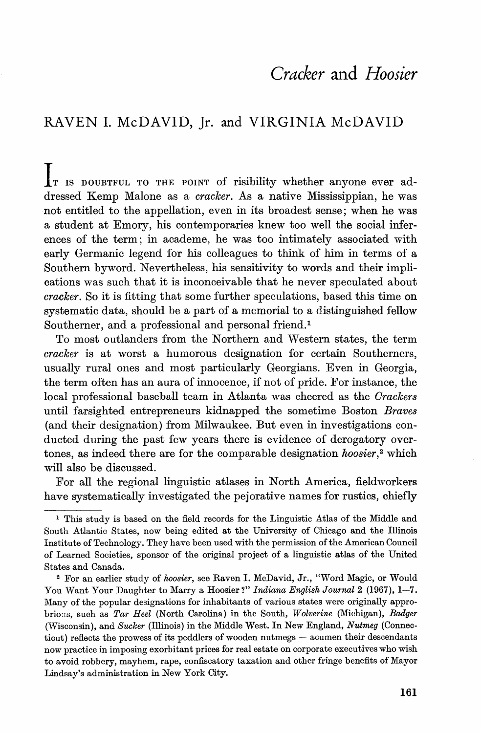## *Cracker* **and** *Hoosier*

## RAVEN 1. McDAVID, Jr. and VIRGINIA McDAVID

IT IS DOUBTFUL TO THE POINT of risibility whether anyone ever addressed Kemp Malone as a *cracker.* As a native Mississippian, he was not entitled to the appellation, even in its broadest sense; when he was a student at Emory, his contemporaries knew too well the social inferences of the term; in academe, he was too intimately associated with early Germanic legend for his colleagues to think of him in terms of a Southern byword. Nevertheless, his sensitivity to words and their implications was such that it is inconceivable that he never speculated about *cracker.* So it is fitting that some further speculations, based this time on systematic data, should be a part of a memorial to a distinguished fellow Southerner, and a professional and personal friend.<sup>1</sup>

To most outlanders from the Northern and Western states, the term *cracker* is at worst a humorous designation for certain Southerners, usually rural ones and most particularly Georgians. Even in Georgia, the term often has an aura of innocence, if not of pride. For instance, the local professional baseball team in Atlanta was cheered as the *Orackers* until farsighted entrepreneurs kidnapped the sometime Boston *Braves* (and their designation) from Milwaukee. But even in investigations conducted during the past few years there is evidence of derogatory overtones, as indeed there are for the comparable designation *hoosier*,<sup>2</sup> which will also be discussed.

For all the regional linguistic atlases in North America, fieldworkers have systematically investigated the pejorative names for rustics, chiefly

<sup>&</sup>lt;sup>1</sup> This study is based on the field records for the Linguistic Atlas of the Middle and South Atlantic States, now being edited at the University of Chicago and the Illinois Institute of Technology. They have been used with the permission of the American Council of Learned Societies, sponsor of the original project of a linguistic atlas of the United States and Canada.

<sup>2</sup> For an earlier study of *hoosier,* see Raven I. McDavid, Jr., "Word Magic, or Would You Want Your Daughter to Marry a Hoosier?" *Indiana English Journal* 2 (1967), 1-7. Many of the popular designations for inhabitants of various states were originally approbrio us, such as *Tar Heel* (North Carolina) in the South, *Wolverine* (Michigan), *Badger* (Wisconsin), and *Sucker* (Illinois) in the Middle West. In New England, *Nutmeg* (Connecticut) reflects the prowess of its peddlers of wooden nutmegs - acumen their descendants now practice in imposing exorbitant prices for real estate on corporate executives who wish to avoid robbery, mayhem, rape, confiscatory taxation and other fringe benefits of Mayor Lindsay's administration in New York City.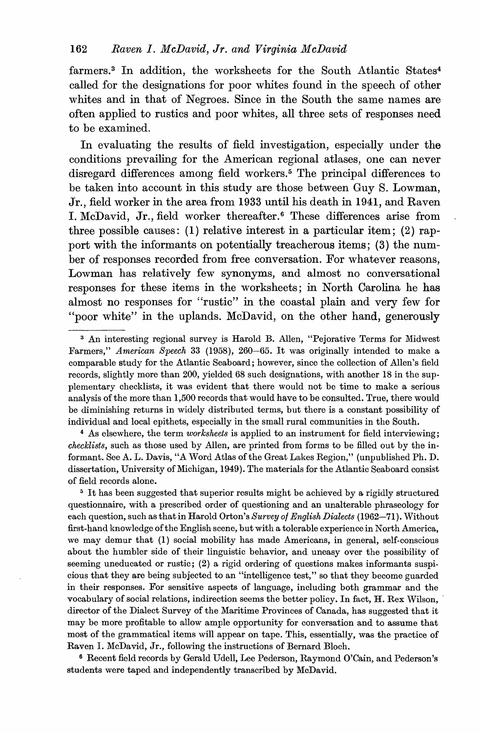farmers.<sup>3</sup> In addition, the worksheets for the South Atlantic States<sup>4</sup> called for the designations for poor whites found in the speech of other whites and in that of Negroes. Since in the South the same names are often applied to rustics and poor whites, all three sets of responses need to be examined.

In evaluating the results of field investigation, especially under the conditions prevailing for the American regional atlases, one can never disregard differences among field workers.<sup>5</sup> The principal differences to be taken into account in this study are those between Guy S. Lowman, Jr., field worker in the area from 1933 until his death in 1941, and Raven I. McDavid, Jr., field worker thereafter.<sup>6</sup> These differences arise from three possible causes: (1) relative interest in a particular item; (2) rapport with the informants on potentially treacherous items; (3) the number of responses recorded from free conversation. For whatever reasons, Lowman has relatively few synonyms, and almost no conversational responses for these items in the worksheets; in North Carolina he has almost no responses for "rustic" in the coastal plain and very few for "poor white" in the uplands. McDavid, on the other hand, generously

<sup>4</sup> As elsewhere, the term *worksheets* is applied to an instrument for field interviewing; *checklists,* such as those used by Allen, are printed from forms to be filled out by the informant. See A. L. Davis, "A Word Atlas of the Great Lakes Region," (unpublished Ph. D. dissertation, University of Michigan, 1949). The materials for the Atlantic Seaboard consist of field records alone.

<sup>5</sup> It has been suggested that superior results might be achieved by a rigidly structured questionnaire, with a prescribed order of questioning and an unalterable phraseology for each question, such as that in Harold Orton's *Survey of English Dialects* (1962-71). Without first-hand knowledge of the English scene, but with a tolerable experience in North America, we may demur that (1) social mobility has made Americans, in general, self-conscious about the humbler side of their linguistic behavior, and uneasy over the possibility of seeming uneducated or rustic; (2) a rigid ordering of questions makes informants suspicious that they are being subjected to an "intelligence test," so that they become guarded in their responses. For sensitive aspects of language, including both grammar and the vocabulary of social relations, indirection seems the better policy. In fact, H. Rex Wilson, , director of the Dialect Survey of the Maritime Provinces of Canada, has suggested that it may be more profitable to allow ample opportunity for conversation and to assume that most of the grammatical items will appear on tape. This, essentially, was the practice of Raven I. McDavid, Jr., following the instructions of Bernard Bloch.

<sup>6</sup> Recent field records by Gerald Udell, Lee Pederson, Raymond O'Cain, and Pederson's students were taped and independently transcribed by McDavid.

<sup>&</sup>lt;sup>3</sup> An interesting regional survey is Harold B. Allen, "Pejorative Terms for Midwest Farmers," *American Speech* 33 (1958), 260-65. It was originally intended to make a comparable study for the Atlantic Seaboard; however, since the collection of Allen's field records, slightly more than 200, yielded 68 such designations, with another 18 in the supplementary checklists, it was evident that there would not be time to make a serious analysis of the more than 1,500 records that would have to be consulted. True, there would be diminishing returns in widely distributed terms, but there is a constant possibility of individual and local epithets, especially in the small rural communities in the South.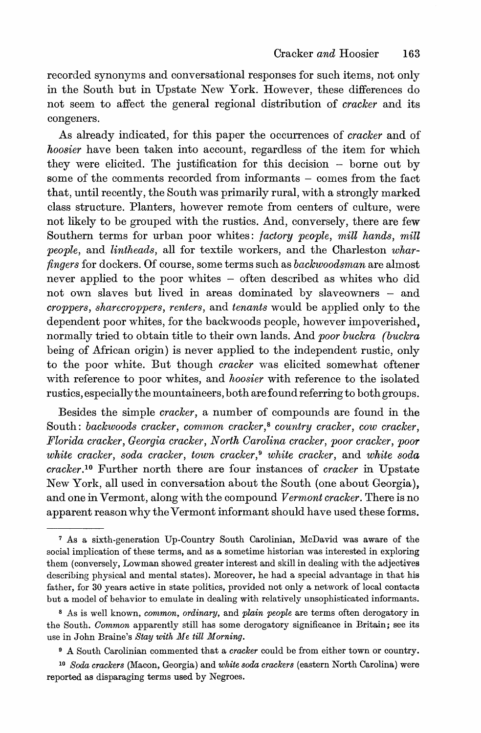recorded synonyms and conversational responses for such items, not only in the South but in Upstate New York. However, these differences do not seem to affect the general regional distribution of *cracker* and its congeners.

As already indicated, for this paper the occurrences of *cracker* and of *hoosier* have been taken into account, regardless of the item for which they were elicited. The justification for this decision - borne out by some of the comments recorded from informants - comes from the fact that, until recently, the South was primarily rural, with a strongly marked class structure. Planters, however remote from centers of culture, were not likely to be grouped with the rustics. And, conversely, there are few Southern terms for urban poor whites: *factory people, mill hands, mill people,* and *lintheads,* all for textile workers, and the Charleston *wharfingers* for dockers. Of course, some terms such as *backwoodsman* are almost never applied to the poor whites - often described as whites who did not own slaves but lived in areas dominated by slaveowners - and *croppers, sharecroppers, renters,* and *tenants* would be applied only to the dependent poor whites, for the backwoods people, however impoverished, normally tried to obtain title to their own lands. And *poor buckra (buckra* being of African origin) is never applied to the independent rustic, only to the poor white. But though *cracker* was elicited somewhat oftener with reference to poor whites, and *hoosier* with reference to the isolated rustics, especiallythe mountaineers, both are found referring to both groups.

Besides the simple *cracker,* a number of compounds are found in the South: *backwoods* cracker, common cracker,<sup>8</sup> country cracker, cow cracker, *Florida cracker, Georgia cracker , North Oarolina cracker, poor cracker, poor white cracker, soda cracker, town cracker,* <sup>9</sup> *white cracker,* and *white soda cracker.l°* Further north there are four instances of *cracker* in Upstate New York, all used in conversation about the South (one about Georgia), and one in Vermont, along with the compound *Vermont cracker.* There is no apparent reason why the Vermont informant should have used these forms.

<sup>7</sup> As a sixth-generation Up-Country South Carolinian, McDavid was aware of the social implication of these terms, and as a sometime historian was interested in exploring them (conversely, Lowman showed greater interest and skill in dealing with the adjectives describing physical and mental states). Moreover, he had a special advantage in that his father, for 30 years active in state politics, provided not only a network of local contacts but a model of behavior to emulate in dealing with relatively unsophisticated informants.

<sup>8</sup> As is well known, *cornmon, ordinary,* and *plain people* are terms often derogatory in the South. *Oommon* apparently still has some derogatory significance in Britain; see its use in John Braine's *Stay with Me till Morning.*

<sup>9</sup> A South Carolinian commented that a *cracker* could be from either town or country.

*<sup>10</sup> Soda crackers* (Macon, Georgia) and *white soda crackers* (eastern North Carolina) were reported as disparaging terms used by Negroes.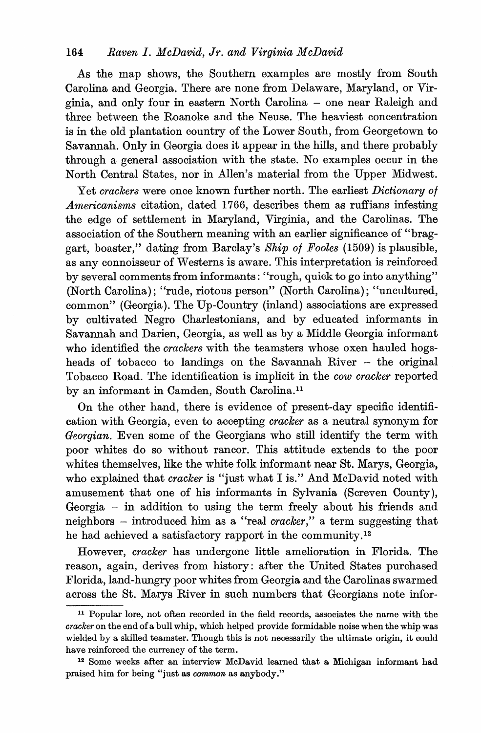As the map shows, the Southern examples are mostly from South Carolina and Georgia. There are none from Delaware, Maryland, or Virginia, and only four in eastern North Carolina - one near Raleigh and three between the Roanoke and the Neuse. The heaviest concentration is in the old plantation country of the Lower South, from Georgetown to Savannah. Only in Georgia does it appear in the hills, and there probably through a general association with the state. No examples occur in the North Central States, nor in Allen's material from the Upper Midwest.

Yet *crackers* were once known further north. The earliest *Dictionary of Americanisms* citation, dated 1766, describes them as ruffians infesting the edge of settlement in Maryland, Virginia, and the Carolinas. The association of the Southern meaning with an earlier significance of "braggart, boaster," dating from Barclay's *Ship of Fooles* (1509) is plausible, as any connoisseur of Westerns is aware. This interpretation is reinforced by several comments from informants: "rough, quick to go into anything" (North Carolina); "rude, riotous person" (North Carolina); "uncultured, common" (Georgia). The Up-Country (inland) associations are expressed by cultivated Negro Charlestonians, and by educated informants in Savannah and Darien, Georgia, as well as by a Middle Georgia informant who identified the *crackers* with the teamsters whose oxen hauled hogsheads of tobacco to landings on the Savannah River - the original Tobacco Road. The identification is implicit in the *cow cracker* reported by an informant in Camden, South Carolina.<sup>11</sup>

On the other hand, there is evidence of present-day specific identification with Georgia, even to accepting *cracker* as a neutral synonym for *Georgian.* Even some of the Georgians who still identify the term with poor whites do so without rancor. This attitude extends to the poor whites themselves, like the white folk informant near St. Marys, Georgia, who explained that *cracker* is "just what I is." And McDavid noted with amusement that one of his informants in Sylvania (Screven County), Georgia - in addition to using the term freely about his friends and neighbors - introduced him as a "real *cracker,"* a term suggesting that he had achieved a satisfactory rapport in the community.<sup>12</sup>

However, *cracker* has undergone little amelioration in Florida. The reason, again, derives from history: after the United States purchased Florida, land-hungry poor whites from Georgia and the Carolinas swarmed across the St. Marys River in such numbers that Georgians note infor-

<sup>11</sup> Popular lore, not often recorded in the field records, associates the name with the *cracker* on the end of a bull whip, which helped provide formidable noise when the whip was wielded by a skilled teamster. Though this is not necessarily the ultimate origin, it could have reinforced the currency of the term.

<sup>12</sup> Some weeks after an interview McDavid learned that a Michigan informant had praised him for being "just as *common* as anybody."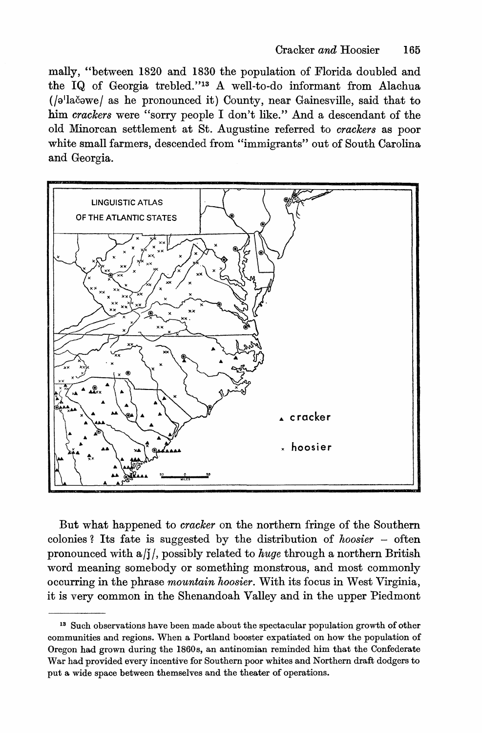mally, "between 1820 and 1830 the population of Florida doubled and the IQ of Georgia trebled."13 A well-to-do informant from Alachua (/a'lačawe/ as he pronounced it) County, near Gainesville, said that to him *crackers* were "sorry people I don't like." And a descendant of the old Minorcan settlement at St. Augustine referred to *crackers* as poor white small farmers, descended from "immigrants" out of South Carolina and Georgia.



But what happened to *cracker* on the northern fringe of the Southern colonies? Its fate is suggested by the distribution of *hoosier -* often pronounced with a*Ij I,* possibly related to *huge* through a northern British word meaning somebody or something monstrous, and most commonly occurring in the phrase *mountain hoosier.* With its focus in West Virginia, it is very common in the Shenandoah Valley and in the upper Piedmont

<sup>13</sup> Such observations have been made about the spectacular population growth of other communities and regions. When a Portland booster expatiated on how the population of Oregon had grown during the 18608, an antinomian reminded him that the Confederate War had provided every incentive for Southern poor whites and Northern draft dodgers to put a wide space between themselves and the theater of operations.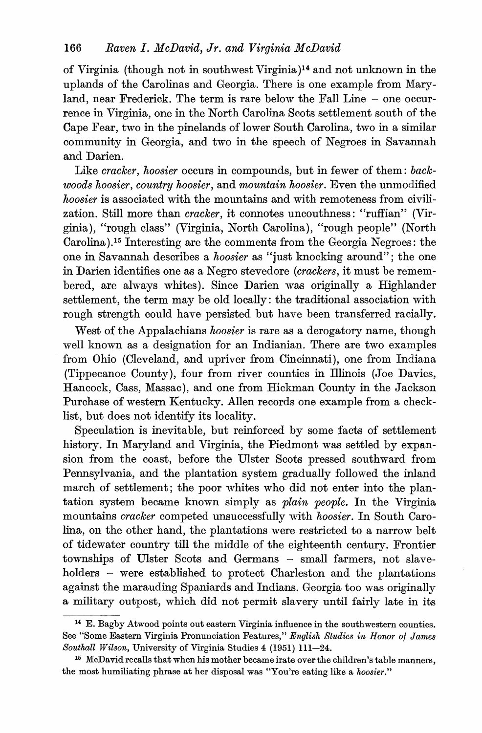of Virginia (though not in southwest Virginia)14and not unknown in the uplands of the Carolinas and Georgia. There is one example from Maryland, near Frederick. The term is rare below the Fall Line - one occurrence in Virginia, one in the North Carolina Scots settlement south of the Cape Fear, two in the pinelands of lower South Carolina, two in a similar community in Georgia, and two in the speech of Negroes in Savannah and Darien.

Like *cracker, hoosier* occurs in compounds, but in fewer of them: *backwoods hoosier, country hoosier,* and *mountain hoosier.* Even the unmodified *hoosier* is associated with the mountains and with remoteness from civilization. Still more than *cracker,* it connotes uncouthness: "ruffian" (Virginia), "rough class" (Virginia, North Carolina), "rough people" (North Carolina).15 Interesting are the comments from the Georgia Negroes: the one in Savannah describes a *hoosier* as "just knocking around"; the one in Darien identifies one as a Negro stevedore *(crackers,* it must be remembered, are always whites). Since Darien was originally a Highlander settlement, the term may be old locally: the traditional association with rough strength could have persisted but have been transferred racially.

West of the Appalachians *hoosier* is rare as a derogatory name, though well known as a designation for an Indianian. There are two examples from Ohio (Cleveland, and upriver from Cincinnati), one from Indiana (Tippecanoe County), four from river counties in Illinois (Joe Davies, Hancock, Cass, Massac), and one from Hickman County in the Jackson Purchase of western Kentucky. Allen records one example from a checklist, but does not identify its locality.

Speculation is inevitable, but reinforced by some facts of settlement history. In Maryland and Virginia, the Piedmont was settled by expansion from the coast, before the Ulster Scots pressed southward from Pennsylvania, and the plantation system gradually followed the inland march of settlement; the poor whites who did not enter into the plantation system became known simply as *plain people.* In the Virginia mountains *cracker* competed unsuccessfully with *hoosier.* In South Carolina, on the other hand, the plantations were restricted to a narrow belt of tidewater country till the middle of the eighteenth century. Frontier townships of Ulster Scots and Germans - small farmers, not slaveholders – were established to protect Charleston and the plantations against the marauding Spaniards and Indians. Georgia too was originally a military outpost, which did not permit slavery until fairly late in its

<sup>14</sup> E. Bagby Atwood points out eastern Virginia influence in the southwestern counties. See "Some Eastern Virginia Pronunciation Features," *English Studies in Honor of James* Southall Wilson, University of Virginia Studies 4 (1951) 111-24.

<sup>&</sup>lt;sup>15</sup> McDavid recalls that when his mother became irate over the children's table manners, the most humiliating phrase at her disposal was "You're eating like a *hoosier."*